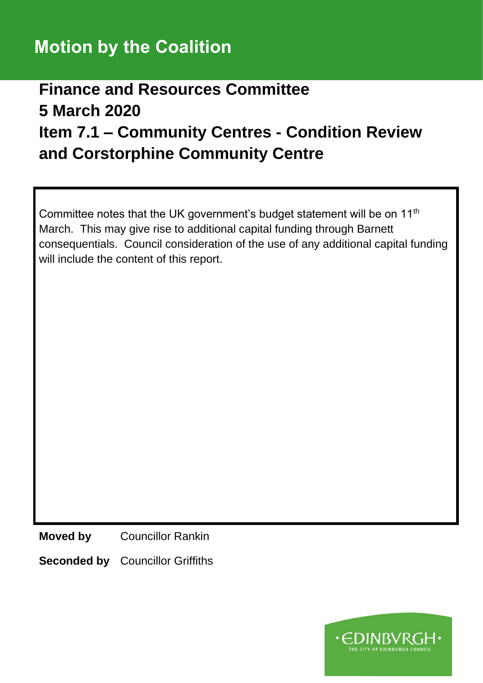# **Finance and Resources Committee 5 March 2020 Item 7.1 – Community Centres - Condition Review and Corstorphine Community Centre**

Committee notes that the UK government's budget statement will be on 11<sup>th</sup> March. This may give rise to additional capital funding through Barnett consequentials. Council consideration of the use of any additional capital funding will include the content of this report.

**Moved by** Councillor Rankin

**Seconded by** Councillor Griffiths

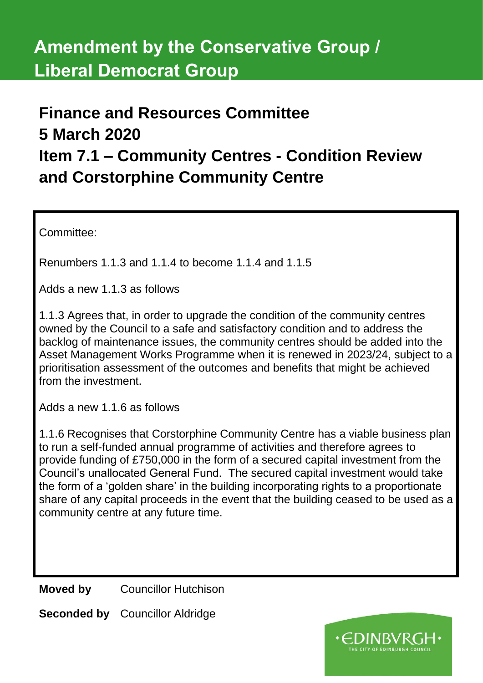# **Amendment by the Conservative Group / Liberal Democrat Group**

### **Finance and Resources Committee 5 March 2020 Item 7.1 – Community Centres - Condition Review and Corstorphine Community Centre**

Committee:

Renumbers 1.1.3 and 1.1.4 to become 1.1.4 and 1.1.5

Adds a new 1.1.3 as follows

1.1.3 Agrees that, in order to upgrade the condition of the community centres owned by the Council to a safe and satisfactory condition and to address the backlog of maintenance issues, the community centres should be added into the Asset Management Works Programme when it is renewed in 2023/24, subject to a prioritisation assessment of the outcomes and benefits that might be achieved from the investment.

Adds a new 1.1.6 as follows

1.1.6 Recognises that Corstorphine Community Centre has a viable business plan to run a self-funded annual programme of activities and therefore agrees to provide funding of £750,000 in the form of a secured capital investment from the Council's unallocated General Fund. The secured capital investment would take the form of a 'golden share' in the building incorporating rights to a proportionate share of any capital proceeds in the event that the building ceased to be used as a community centre at any future time.

**Moved by** Councillor Hutchison

**Seconded by** Councillor Aldridge

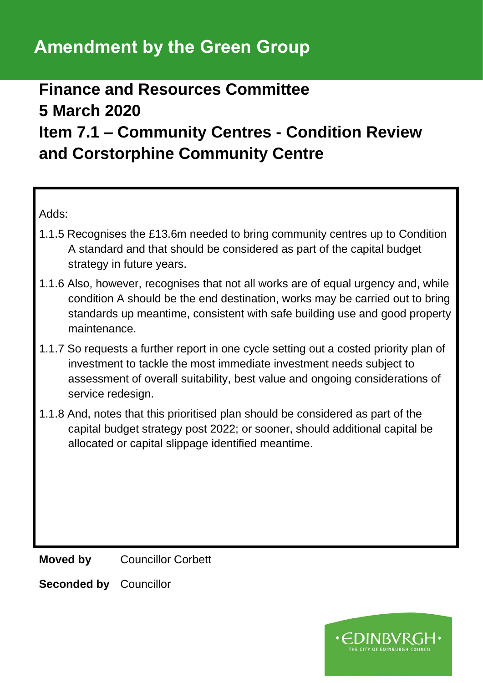# **Amendment by the Green Group**

# **Finance and Resources Committee 5 March 2020 Item 7.1 – Community Centres - Condition Review and Corstorphine Community Centre**

Adds:

- 1.1.5 Recognises the £13.6m needed to bring community centres up to Condition A standard and that should be considered as part of the capital budget strategy in future years.
- 1.1.6 Also, however, recognises that not all works are of equal urgency and, while condition A should be the end destination, works may be carried out to bring standards up meantime, consistent with safe building use and good property maintenance.
- 1.1.7 So requests a further report in one cycle setting out a costed priority plan of investment to tackle the most immediate investment needs subject to assessment of overall suitability, best value and ongoing considerations of service redesign.
- 1.1.8 And, notes that this prioritised plan should be considered as part of the capital budget strategy post 2022; or sooner, should additional capital be allocated or capital slippage identified meantime.

**Moved by** Councillor Corbett

**Seconded by** Councillor

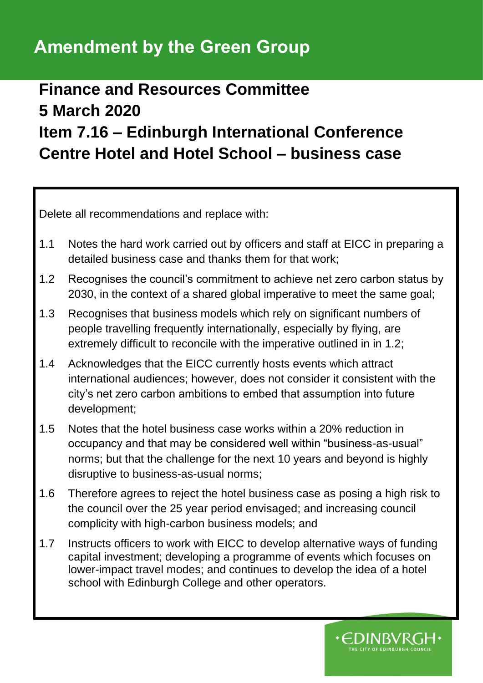# **Amendment by the Green Group**

# **Finance and Resources Committee 5 March 2020 Item 7.16 – Edinburgh International Conference Centre Hotel and Hotel School – business case**

Delete all recommendations and replace with:

- 1.1 Notes the hard work carried out by officers and staff at EICC in preparing a detailed business case and thanks them for that work;
- 1.2 Recognises the council's commitment to achieve net zero carbon status by 2030, in the context of a shared global imperative to meet the same goal;
- 1.3 Recognises that business models which rely on significant numbers of people travelling frequently internationally, especially by flying, are extremely difficult to reconcile with the imperative outlined in in 1.2;
- 1.4 Acknowledges that the EICC currently hosts events which attract international audiences; however, does not consider it consistent with the city's net zero carbon ambitions to embed that assumption into future development;
- 1.5 Notes that the hotel business case works within a 20% reduction in occupancy and that may be considered well within "business-as-usual" norms; but that the challenge for the next 10 years and beyond is highly disruptive to business-as-usual norms;
- 1.6 Therefore agrees to reject the hotel business case as posing a high risk to the council over the 25 year period envisaged; and increasing council complicity with high-carbon business models; and
- 1.7 Instructs officers to work with EICC to develop alternative ways of funding capital investment; developing a programme of events which focuses on lower-impact travel modes; and continues to develop the idea of a hotel school with Edinburgh College and other operators.

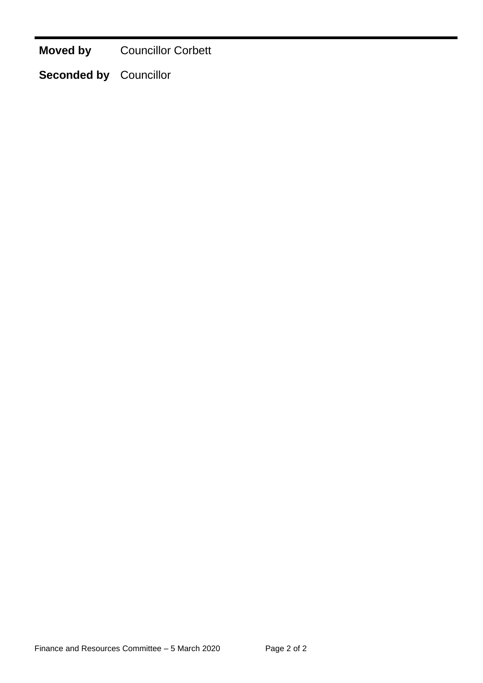**Moved by** Councillor Corbett

**Seconded by** Councillor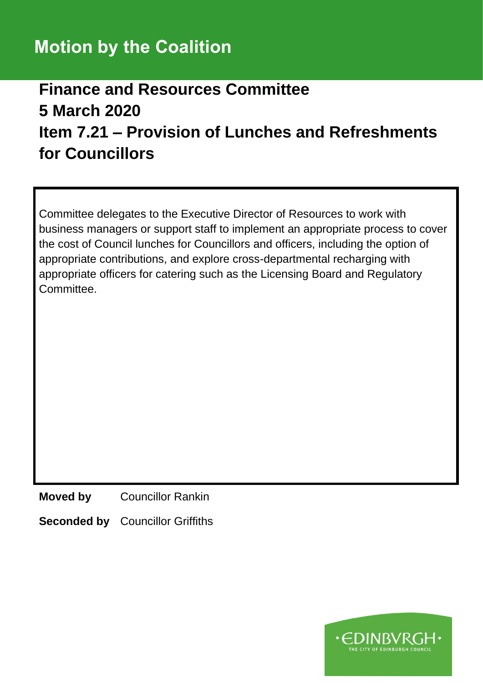## **Finance and Resources Committee 5 March 2020 Item 7.21 – Provision of Lunches and Refreshments for Councillors**

Committee delegates to the Executive Director of Resources to work with business managers or support staff to implement an appropriate process to cover the cost of Council lunches for Councillors and officers, including the option of appropriate contributions, and explore cross-departmental recharging with appropriate officers for catering such as the Licensing Board and Regulatory Committee.

**Moved by** Councillor Rankin

**Seconded by** Councillor Griffiths